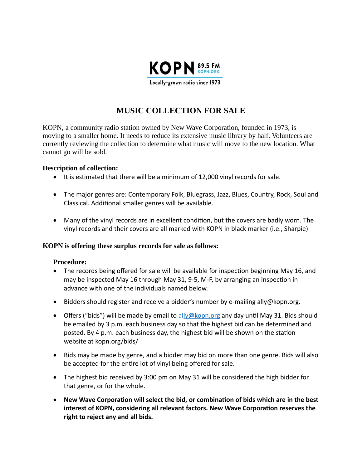

# **MUSIC COLLECTION FOR SALE**

KOPN, a community radio station owned by New Wave Corporation, founded in 1973, is moving to a smaller home. It needs to reduce its extensive music library by half. Volunteers are currently reviewing the collection to determine what music will move to the new location. What cannot go will be sold.

#### **Description of collection:**

- $\bullet$  It is estimated that there will be a minimum of 12,000 vinyl records for sale.
- The major genres are: Contemporary Folk, Bluegrass, Jazz, Blues, Country, Rock, Soul and Classical. Additional smaller genres will be available.
- Many of the vinyl records are in excellent condition, but the covers are badly worn. The vinyl records and their covers are all marked with KOPN in black marker (i.e., Sharpie)

### **KOPN is offering these surplus records for sale as follows:**

### **Procedure:**

- $\bullet$  The records being offered for sale will be available for inspection beginning May 16, and may be inspected May 16 through May 31, 9-5, M-F, by arranging an inspection in advance with one of the individuals named below.
- $\bullet$  Bidders should register and receive a bidder's number by e-mailing ally@kopn.org.
- Offers ("bids") will be made by email to ally@kopn org any day until May 31. Bids should be emailed by 3 p.m. each business day so that the highest bid can be determined and posted. By 4 p.m. each business day, the highest bid will be shown on the station website at kopn.org/bids/
- Bids may be made by genre, and a bidder may bid on more than one genre. Bids will also be accepted for the entire lot of vinyl being offered for sale.
- The highest bid received by 3:00 pm on May 31 will be considered the high bidder for that genre, or for the whole.
- New Wave Corporation will select the bid, or combination of bids which are in the best interest of KOPN, considering all relevant factors. New Wave Corporation reserves the right to reject any and all bids.